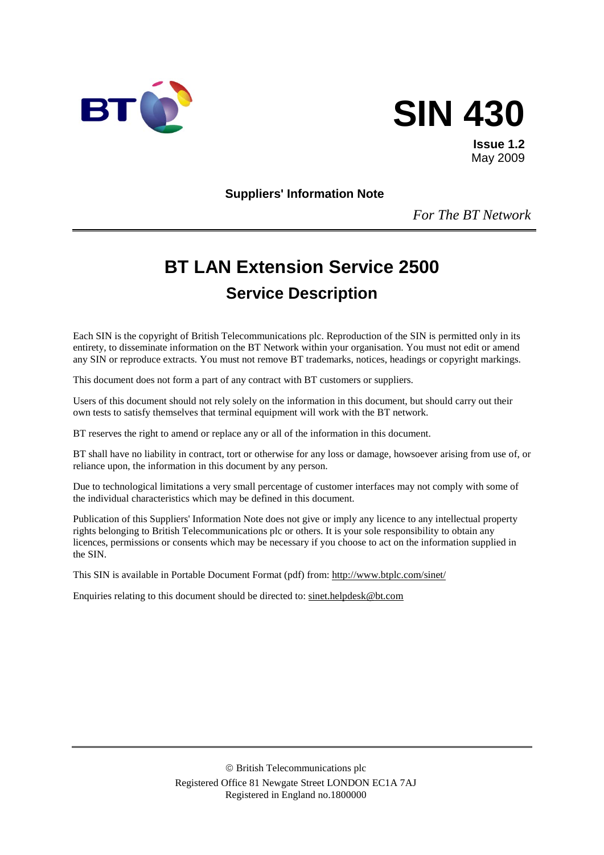



**Issue 1.2** May 2009

**Suppliers' Information Note**

*For The BT Network*

# **BT LAN Extension Service 2500 Service Description**

Each SIN is the copyright of British Telecommunications plc. Reproduction of the SIN is permitted only in its entirety, to disseminate information on the BT Network within your organisation. You must not edit or amend any SIN or reproduce extracts. You must not remove BT trademarks, notices, headings or copyright markings.

This document does not form a part of any contract with BT customers or suppliers.

Users of this document should not rely solely on the information in this document, but should carry out their own tests to satisfy themselves that terminal equipment will work with the BT network.

BT reserves the right to amend or replace any or all of the information in this document.

BT shall have no liability in contract, tort or otherwise for any loss or damage, howsoever arising from use of, or reliance upon, the information in this document by any person.

Due to technological limitations a very small percentage of customer interfaces may not comply with some of the individual characteristics which may be defined in this document.

Publication of this Suppliers' Information Note does not give or imply any licence to any intellectual property rights belonging to British Telecommunications plc or others. It is your sole responsibility to obtain any licences, permissions or consents which may be necessary if you choose to act on the information supplied in the SIN.

This SIN is available in Portable Document Format (pdf) from:<http://www.btplc.com/sinet/>

Enquiries relating to this document should be directed to: [sinet.helpdesk@bt.com](mailto:sinet.helpdesk@bt.com)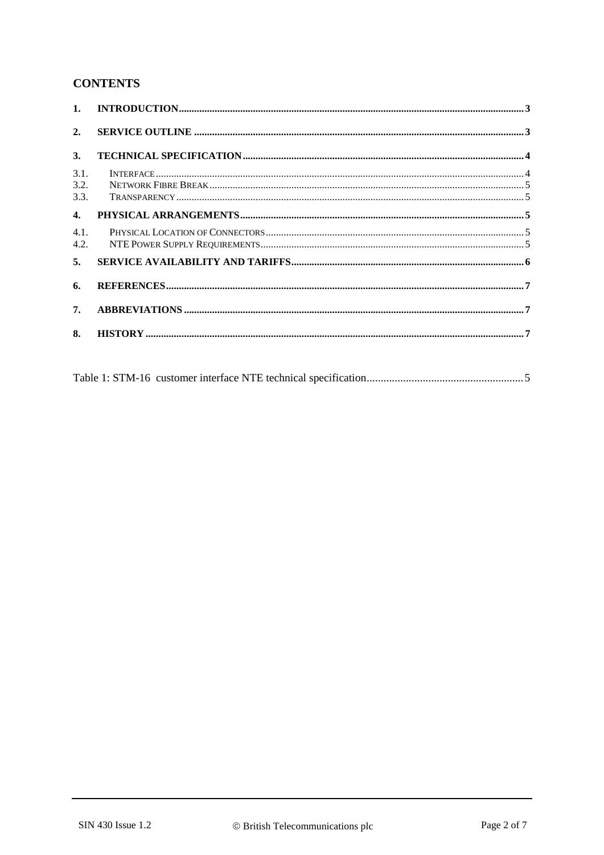#### **CONTENTS**

| 1.                   |  |
|----------------------|--|
| 2.                   |  |
| 3.                   |  |
| 3.1.<br>3.2.<br>3.3. |  |
| $\mathbf{4}$         |  |
| 4.1.<br>4.2.         |  |
| 5.                   |  |
| 6.                   |  |
| 7.                   |  |
| 8.                   |  |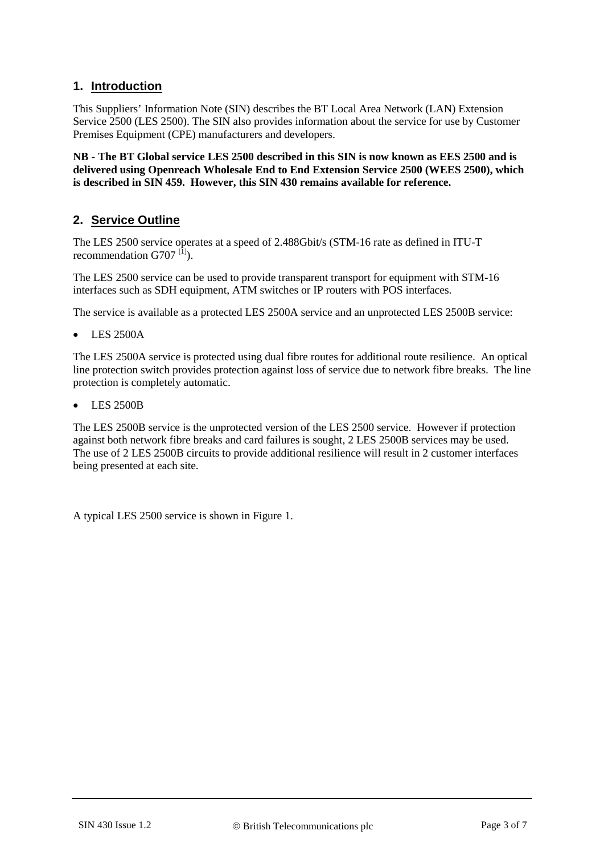#### **1. Introduction**

This Suppliers' Information Note (SIN) describes the BT Local Area Network (LAN) Extension Service 2500 (LES 2500). The SIN also provides information about the service for use by Customer Premises Equipment (CPE) manufacturers and developers.

**NB - The BT Global service LES 2500 described in this SIN is now known as EES 2500 and is delivered using Openreach Wholesale End to End Extension Service 2500 (WEES 2500), which is described in SIN 459. However, this SIN 430 remains available for reference.**

#### **2. Service Outline**

The LES 2500 service operates at a speed of 2.488Gbit/s (STM-16 rate as defined in ITU-T recommendation  $G707$ <sup>[1]</sup>).

The LES 2500 service can be used to provide transparent transport for equipment with STM-16 interfaces such as SDH equipment, ATM switches or IP routers with POS interfaces.

The service is available as a protected LES 2500A service and an unprotected LES 2500B service:

• LES 2500A

The LES 2500A service is protected using dual fibre routes for additional route resilience. An optical line protection switch provides protection against loss of service due to network fibre breaks. The line protection is completely automatic.

• LES 2500B

The LES 2500B service is the unprotected version of the LES 2500 service. However if protection against both network fibre breaks and card failures is sought, 2 LES 2500B services may be used. The use of 2 LES 2500B circuits to provide additional resilience will result in 2 customer interfaces being presented at each site.

A typical LES 2500 service is shown in [Figure 1.](#page-3-0)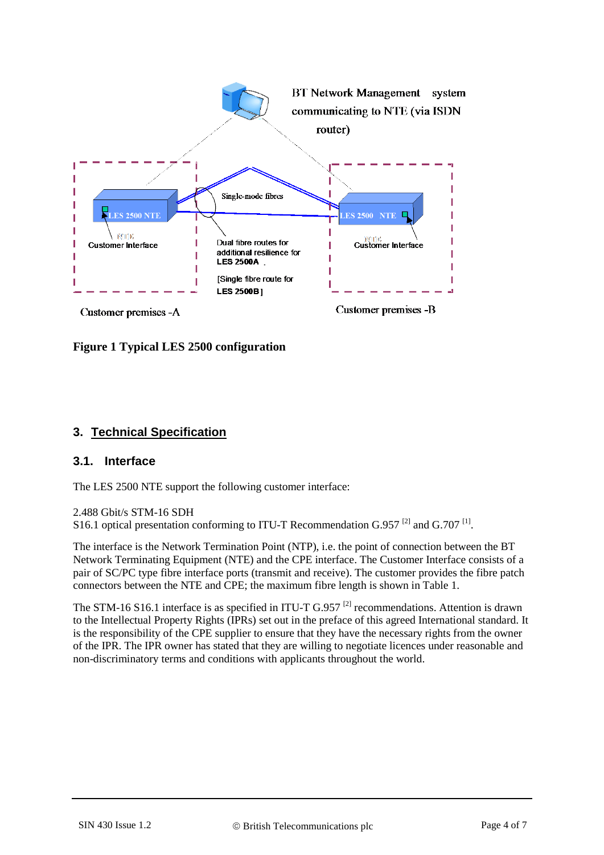

<span id="page-3-0"></span>**Figure 1 Typical LES 2500 configuration**

## **3. Technical Specification**

#### **3.1. Interface**

The LES 2500 NTE support the following customer interface:

#### 2.488 Gbit/s STM-16 SDH

S16.1 optical presentation conforming to ITU-T Recommendation G.957<sup>[\[2\]](#page-6-1)</sup> and G.707<sup>[\[1\]](#page-6-0)</sup>.

The interface is the Network Termination Point (NTP), i.e. the point of connection between the BT Network Terminating Equipment (NTE) and the CPE interface. The Customer Interface consists of a pair of SC/PC type fibre interface ports (transmit and receive). The customer provides the fibre patch connectors between the NTE and CPE; the maximum fibre length is shown in [Table 1.](#page-4-0)

The STM-16 S16.1 interface is as specified in ITU-T G.957<sup>[\[2\]](#page-6-1)</sup> recommendations. Attention is drawn to the Intellectual Property Rights (IPRs) set out in the preface of this agreed International standard. It is the responsibility of the CPE supplier to ensure that they have the necessary rights from the owner of the IPR. The IPR owner has stated that they are willing to negotiate licences under reasonable and non-discriminatory terms and conditions with applicants throughout the world.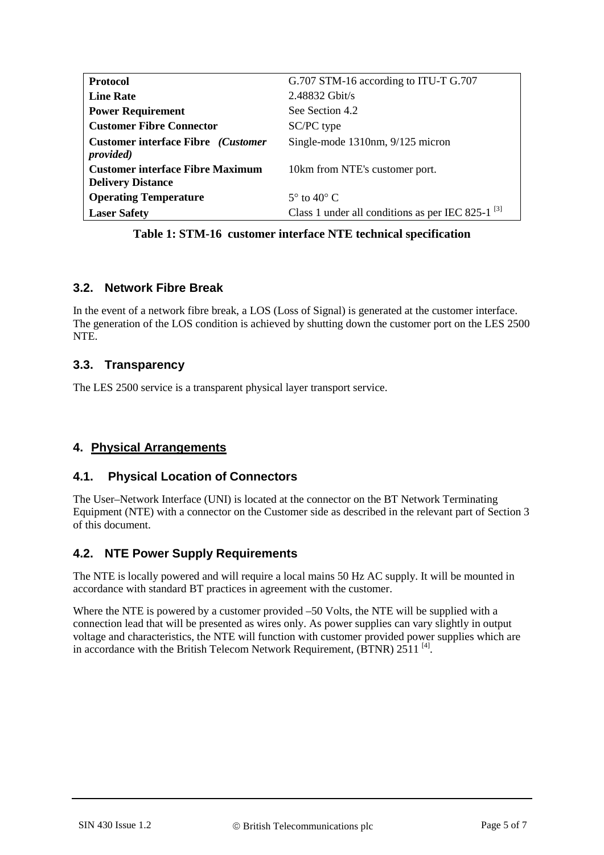| <b>Protocol</b>                                     | G.707 STM-16 according to ITU-T G.707                  |
|-----------------------------------------------------|--------------------------------------------------------|
| <b>Line Rate</b>                                    | $2.48832$ Gbit/s                                       |
| <b>Power Requirement</b>                            | See Section 4.2                                        |
| <b>Customer Fibre Connector</b>                     | SC/PC type                                             |
| <b>Customer interface Fibre</b> ( <i>Customer</i> ) | Single-mode 1310nm, 9/125 micron                       |
| <i>provided</i> )                                   |                                                        |
| <b>Customer interface Fibre Maximum</b>             | 10km from NTE's customer port.                         |
| <b>Delivery Distance</b>                            |                                                        |
| <b>Operating Temperature</b>                        | $5^\circ$ to $40^\circ$ C                              |
| <b>Laser Safety</b>                                 | Class 1 under all conditions as per IEC 825-1 $^{[3]}$ |

**Table 1: STM-16 customer interface NTE technical specification**

## <span id="page-4-0"></span>**3.2. Network Fibre Break**

In the event of a network fibre break, a LOS (Loss of Signal) is generated at the customer interface. The generation of the LOS condition is achieved by shutting down the customer port on the LES 2500 NTE.

## **3.3. Transparency**

The LES 2500 service is a transparent physical layer transport service.

## **4. Physical Arrangements**

#### **4.1. Physical Location of Connectors**

The User–Network Interface (UNI) is located at the connector on the BT Network Terminating Equipment (NTE) with a connector on the Customer side as described in the relevant part of Section 3 of this document.

#### **4.2. NTE Power Supply Requirements**

The NTE is locally powered and will require a local mains 50 Hz AC supply. It will be mounted in accordance with standard BT practices in agreement with the customer.

Where the NTE is powered by a customer provided –50 Volts, the NTE will be supplied with a connection lead that will be presented as wires only. As power supplies can vary slightly in output voltage and characteristics, the NTE will function with customer provided power supplies which are in accordance with the British Telecom Network Requirement, (BTNR) 2511<sup>[\[4\]](#page-6-3)</sup>.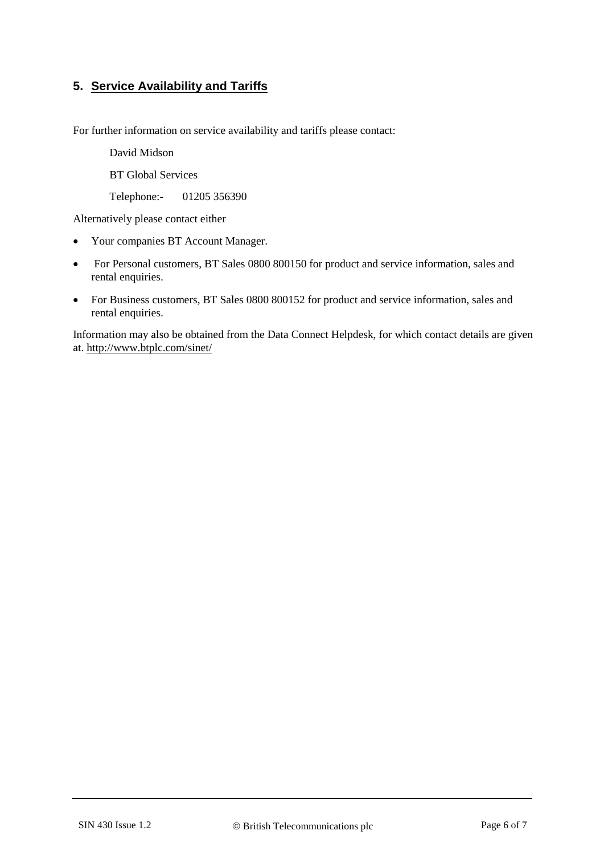## **5. Service Availability and Tariffs**

For further information on service availability and tariffs please contact:

David Midson

BT Global Services

Telephone:- 01205 356390

Alternatively please contact either

- Your companies BT Account Manager.
- For Personal customers, BT Sales 0800 800150 for product and service information, sales and rental enquiries.
- For Business customers, BT Sales 0800 800152 for product and service information, sales and rental enquiries.

Information may also be obtained from the Data Connect Helpdesk, for which contact details are given at. <http://www.btplc.com/sinet/>